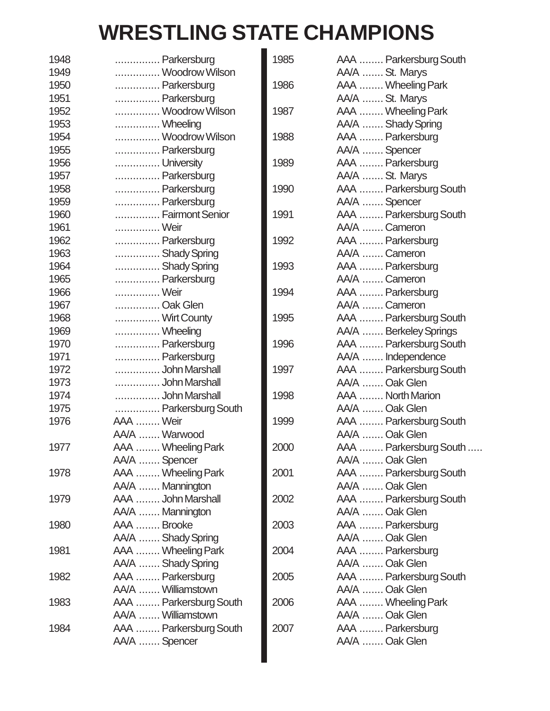## **WRESTLING STATE CHAMPIONS**

 $\blacksquare$ 

| 1948 | Parkersburg                                  | 1985 | AAA  Parkersburg South              |
|------|----------------------------------------------|------|-------------------------------------|
| 1949 | Woodrow Wilson                               |      | AA/A  St. Marys                     |
| 1950 | Parkersburg                                  | 1986 | AAA  Wheeling Park                  |
| 1951 | Parkersburg                                  |      | AA/A  St. Marys                     |
| 1952 | Woodrow Wilson                               | 1987 | AAA  Wheeling Park                  |
| 1953 | Wheeling                                     |      | AA/A  Shady Spring                  |
| 1954 | Woodrow Wilson                               | 1988 | AAA  Parkersburg                    |
| 1955 | Parkersburg                                  |      | AA/A  Spencer                       |
| 1956 | University                                   | 1989 | AAA  Parkersburg                    |
| 1957 | Parkersburg                                  |      | AA/A  St. Marys                     |
| 1958 | Parkersburg                                  | 1990 | AAA  Parkersburg South              |
| 1959 | Parkersburg                                  |      | AA/A  Spencer                       |
| 1960 | Fairmont Senior                              | 1991 | AAA  Parkersburg South              |
| 1961 | Weir                                         |      | AA/A  Cameron                       |
| 1962 | Parkersburg                                  | 1992 | AAA  Parkersburg                    |
| 1963 | Shady Spring                                 |      | AA/A  Cameron                       |
| 1964 | Shady Spring                                 | 1993 | AAA  Parkersburg                    |
| 1965 | Parkersburg                                  |      | AA/A  Cameron                       |
| 1966 | Weir                                         | 1994 | AAA  Parkersburg                    |
| 1967 | Oak Glen                                     |      | AA/A  Cameron                       |
| 1968 | Wirt County                                  | 1995 | AAA  Parkersburg South              |
| 1969 | Wheeling                                     |      | AA/A  Berkeley Springs              |
| 1970 | Parkersburg                                  | 1996 | AAA  Parkersburg South              |
| 1971 | Parkersburg                                  |      | AA/A  Independence                  |
| 1972 | John Marshall                                | 1997 | AAA  Parkersburg South              |
| 1973 | John Marshall                                |      | AA/A  Oak Glen                      |
| 1974 | John Marshall                                | 1998 | AAA  North Marion                   |
| 1975 | Parkersburg South                            |      | AA/A  Oak Glen                      |
| 1976 | AAA  Weir                                    | 1999 | AAA  Parkersburg South              |
|      | AA/A  Warwood                                |      | AA/A  Oak Glen                      |
| 1977 | AAA  Wheeling Park                           | 2000 | AAA  Parkersburg South<br>$\ddotsc$ |
|      | AA/A  Spencer                                |      | AA/A  Oak Glen                      |
| 1978 | AAA  Wheeling Park                           | 2001 | AAA  Parkersburg South              |
|      | AA/A  Mannington                             |      | AA/A  Oak Glen                      |
| 1979 | AAA  John Marshall                           | 2002 | AAA  Parkersburg South              |
|      | AA/A  Mannington                             |      | AA/A  Oak Glen                      |
| 1980 | AAA  Brooke                                  | 2003 | AAA  Parkersburg                    |
|      | AA/A  Shady Spring                           |      | AA/A  Oak Glen                      |
| 1981 | AAA  Wheeling Park                           | 2004 | AAA  Parkersburg                    |
|      | AA/A  Shady Spring                           |      | AA/A  Oak Glen                      |
| 1982 | AAA  Parkersburg<br>AA/A  Williamstown       | 2005 | AAA  Parkersburg South              |
|      |                                              |      | AA/A  Oak Glen                      |
| 1983 | AAA  Parkersburg South<br>AA/A  Williamstown | 2006 | AAA  Wheeling Park                  |
|      |                                              |      | AA/A  Oak Glen                      |
| 1984 | AAA  Parkersburg South                       | 2007 | AAA  Parkersburg                    |
|      | AA/A  Spencer                                |      | AA/A  Oak Glen                      |
|      |                                              |      |                                     |